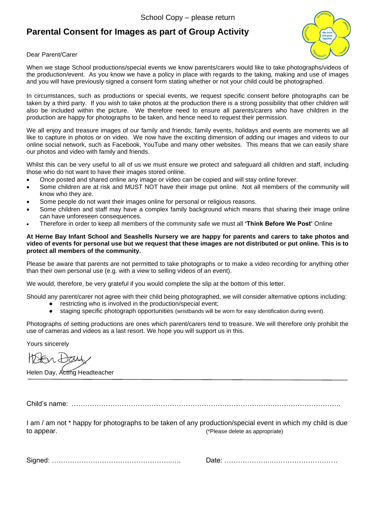## **Parental Consent for Images as part of Group Activity**



Dear Parent/Carer

When we stage School productions/special events we know parents/carers would like to take photographs/videos of the production/event. As you know we have a policy in place with regards to the taking, making and use of images and you will have previously signed a consent form stating whether or not your child could be photographed.

In circumstances, such as productions or special events, we request specific consent before photographs can be taken by a third party. If you wish to take photos at the production there is a strong possibility that other children will also be included within the picture. We therefore need to ensure all parents/carers who have children in the production are happy for photographs to be taken, and hence need to request their permission.

We all enjoy and treasure images of our family and friends; family events, holidays and events are moments we all like to capture in photos or on video. We now have the exciting dimension of adding our images and videos to our online social network, such as Facebook, YouTube and many other websites. This means that we can easily share our photos and video with family and friends.

Whilst this can be very useful to all of us we must ensure we protect and safeguard all children and staff, including those who do not want to have their images stored online.

- Once posted and shared online any image or video can be copied and will stay online forever.
- Some children are at risk and MUST NOT have their image put online. Not all members of the community will know who they are.
- Some people do not want their images online for personal or religious reasons.
- Some children and staff may have a complex family background which means that sharing their image online can have unforeseen consequences.
- Therefore in order to keep all members of the community safe we must all **'Think Before We Post'** Online

**At Herne Bay Infant School and Seashells Nursery we are happy for parents and carers to take photos and video of events for personal use but we request that these images are not distributed or put online. This is to protect all members of the community.**

Please be aware that parents are not permitted to take photographs or to make a video recording for anything other than their own personal use (e.g. with a view to selling videos of an event).

We would, therefore, be very grateful if you would complete the slip at the bottom of this letter.

Should any parent/carer not agree with their child being photographed, we will consider alternative options including:

- restricting who is involved in the production/special event;
- staging specific photograph opportunities (wristbands will be worn for easy identification during event).

Photographs of setting productions are ones which parent/carers tend to treasure. We will therefore only prohibit the use of cameras and videos as a last resort. We hope you will support us in this.

Yours sincerely

 $H$ 

Helen Day, Acting Headteacher

Child's name: ……………………………………………………………………………………………………….

I am / am not \* happy for photographs to be taken of any production/special event in which my child is due to appear. The contract of the contract of the contract of the contract of the contract of the contract of the contract of the contract of the contract of the contract of the contract of the contract of the contract of the

Signed: ……………………………………………..…. Date: ………………..…………………………